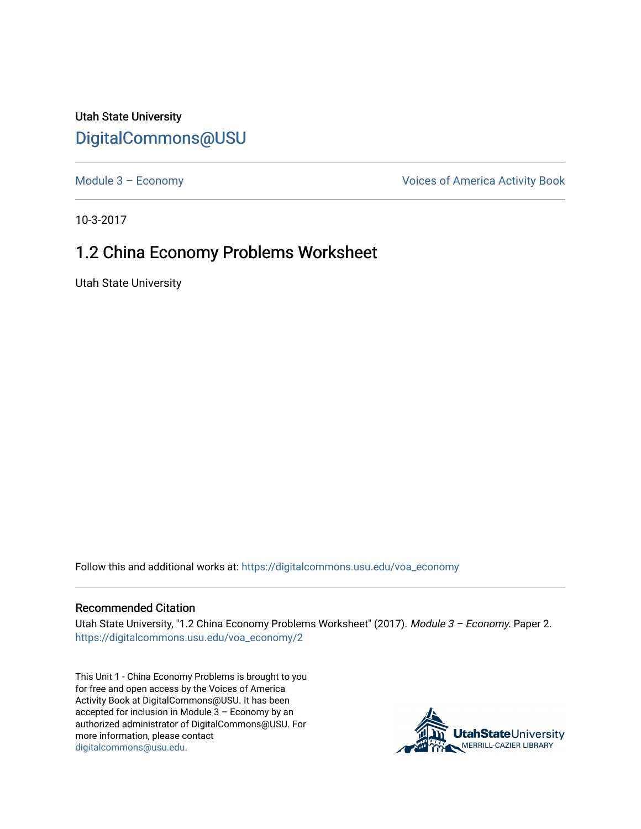Utah State University [DigitalCommons@USU](https://digitalcommons.usu.edu/)

Module 3 - Economy **Module 3 - Economy Voices of America Activity Book** 

10-3-2017

## 1.2 China Economy Problems Worksheet

Utah State University

Follow this and additional works at: [https://digitalcommons.usu.edu/voa\\_economy](https://digitalcommons.usu.edu/voa_economy?utm_source=digitalcommons.usu.edu%2Fvoa_economy%2F2&utm_medium=PDF&utm_campaign=PDFCoverPages) 

## Recommended Citation

Utah State University, "1.2 China Economy Problems Worksheet" (2017). Module 3 - Economy. Paper 2. [https://digitalcommons.usu.edu/voa\\_economy/2](https://digitalcommons.usu.edu/voa_economy/2?utm_source=digitalcommons.usu.edu%2Fvoa_economy%2F2&utm_medium=PDF&utm_campaign=PDFCoverPages) 

This Unit 1 - China Economy Problems is brought to you for free and open access by the Voices of America Activity Book at DigitalCommons@USU. It has been accepted for inclusion in Module 3 – Economy by an authorized administrator of DigitalCommons@USU. For more information, please contact [digitalcommons@usu.edu.](mailto:digitalcommons@usu.edu)

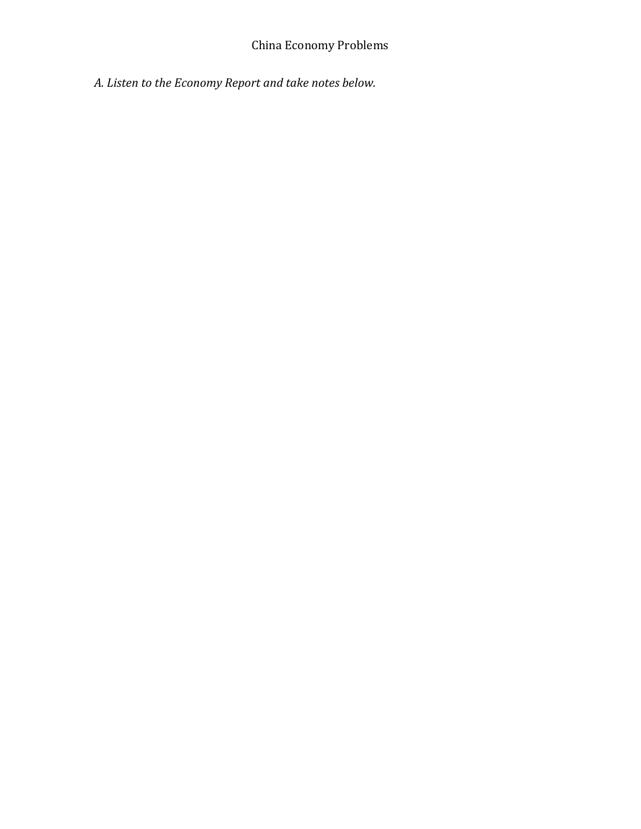*A. Listen to the Economy Report and take notes below.*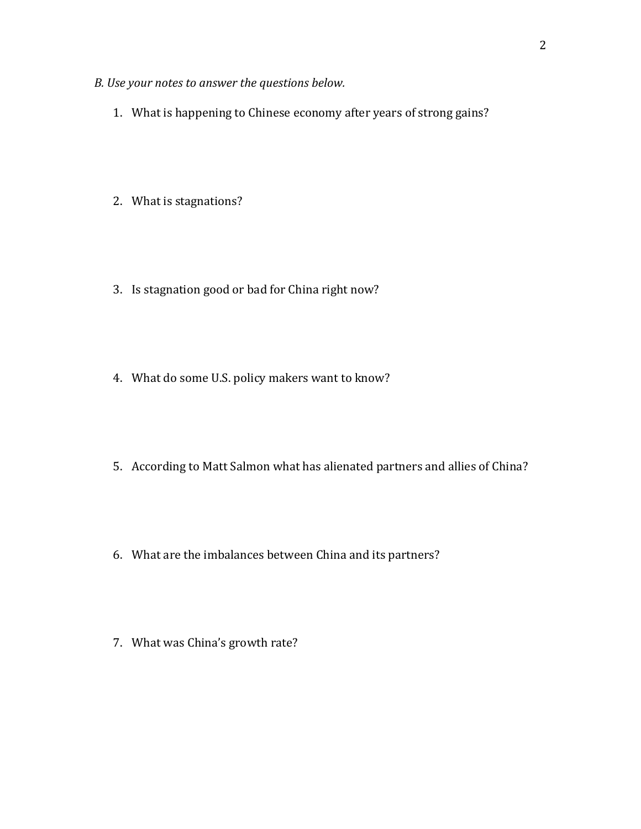- *B. Use your notes to answer the questions below.* 
	- 1. What is happening to Chinese economy after years of strong gains?
	- 2. What is stagnations?
	- 3. Is stagnation good or bad for China right now?
	- 4. What do some U.S. policy makers want to know?
	- 5. According to Matt Salmon what has alienated partners and allies of China?
	- 6. What are the imbalances between China and its partners?
	- 7. What was China's growth rate?